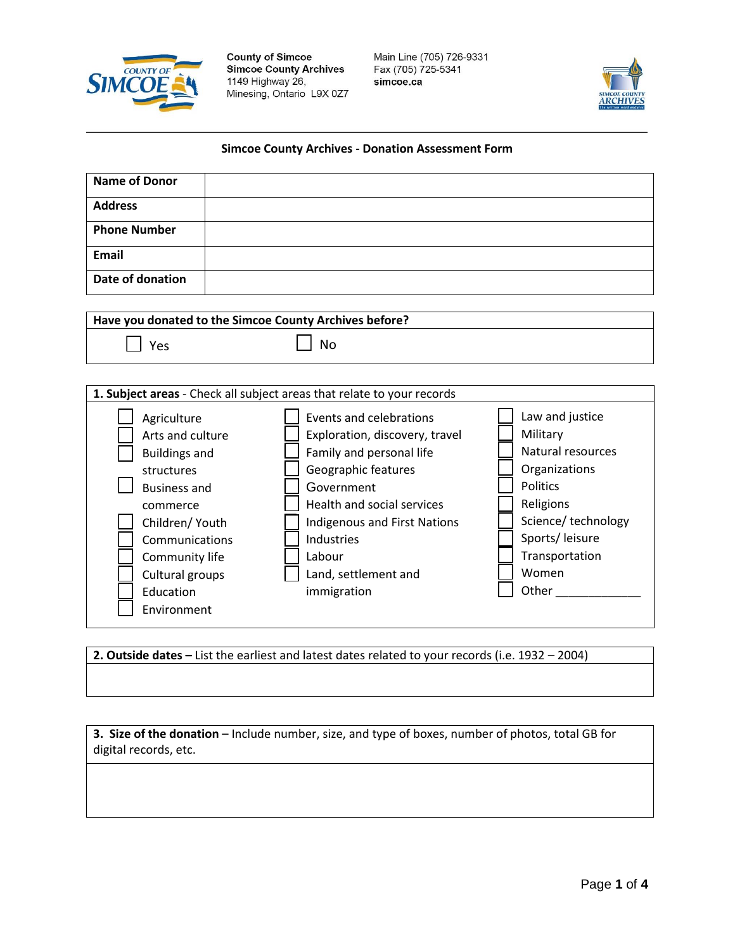

**County of Simcoe Simcoe County Archives** 1149 Highway 26, Minesing, Ontario L9X 0Z7 Main Line (705) 726-9331 Fax (705) 725-5341 simcoe.ca



## **Simcoe County Archives - Donation Assessment Form**

| <b>Name of Donor</b>                                                                                                                                                                            |                                                                                                                                                                                                                              |                                                                                                                                                                   |
|-------------------------------------------------------------------------------------------------------------------------------------------------------------------------------------------------|------------------------------------------------------------------------------------------------------------------------------------------------------------------------------------------------------------------------------|-------------------------------------------------------------------------------------------------------------------------------------------------------------------|
| <b>Address</b>                                                                                                                                                                                  |                                                                                                                                                                                                                              |                                                                                                                                                                   |
| <b>Phone Number</b>                                                                                                                                                                             |                                                                                                                                                                                                                              |                                                                                                                                                                   |
| <b>Email</b>                                                                                                                                                                                    |                                                                                                                                                                                                                              |                                                                                                                                                                   |
| Date of donation                                                                                                                                                                                |                                                                                                                                                                                                                              |                                                                                                                                                                   |
|                                                                                                                                                                                                 |                                                                                                                                                                                                                              |                                                                                                                                                                   |
|                                                                                                                                                                                                 | Have you donated to the Simcoe County Archives before?                                                                                                                                                                       |                                                                                                                                                                   |
| Yes                                                                                                                                                                                             | <b>No</b>                                                                                                                                                                                                                    |                                                                                                                                                                   |
| Agriculture                                                                                                                                                                                     | 1. Subject areas - Check all subject areas that relate to your records<br>Events and celebrations                                                                                                                            | Law and justice                                                                                                                                                   |
| Arts and culture<br><b>Buildings and</b><br>structures<br><b>Business and</b><br>commerce<br>Children/ Youth<br>Communications<br>Community life<br>Cultural groups<br>Education<br>Environment | Exploration, discovery, travel<br>Family and personal life<br>Geographic features<br>Government<br>Health and social services<br>Indigenous and First Nations<br>Industries<br>Labour<br>Land, settlement and<br>immigration | Military<br><b>Natural resources</b><br>Organizations<br><b>Politics</b><br>Religions<br>Science/technology<br>Sports/leisure<br>Transportation<br>Women<br>Other |

**2. Outside dates –** List the earliest and latest dates related to your records (i.e. 1932 – 2004)

**3. Size of the donation** – Include number, size, and type of boxes, number of photos, total GB for digital records, etc.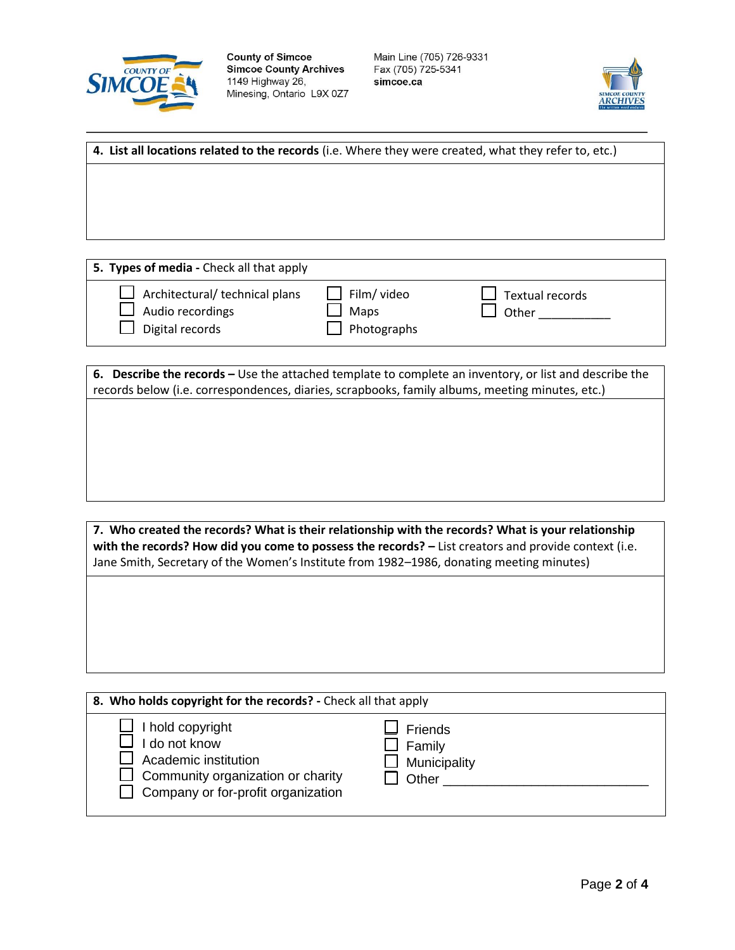



**4. List all locations related to the records** (i.e. Where they were created, what they refer to, etc.)

**5. Types of media -** Check all that apply

| $\Box$ Architectural/ technical plans<br>$\Box$ Audio recordings<br>$\Box$ Digital records | $\Box$ Film/ video<br>Maps<br>$\Box$ Photographs | $\Box$ Textual records<br>Other |
|--------------------------------------------------------------------------------------------|--------------------------------------------------|---------------------------------|
|                                                                                            |                                                  |                                 |

**6. Describe the records –** Use the attached template to complete an inventory, or list and describe the records below (i.e. correspondences, diaries, scrapbooks, family albums, meeting minutes, etc.)

**7. Who created the records? What is their relationship with the records? What is your relationship with the records? How did you come to possess the records? –** List creators and provide context (i.e. Jane Smith, Secretary of the Women's Institute from 1982–1986, donating meeting minutes)

| 8. Who holds copyright for the records? - Check all that apply                                                                                            |                                                            |  |  |  |  |
|-----------------------------------------------------------------------------------------------------------------------------------------------------------|------------------------------------------------------------|--|--|--|--|
| $\Box$ I hold copyright<br>I do not know<br>Academic institution<br>$\Box$ Community organization or charity<br>$\Box$ Company or for-profit organization | l Friends<br>$\Box$ Family<br>$\Box$ Municipality<br>Other |  |  |  |  |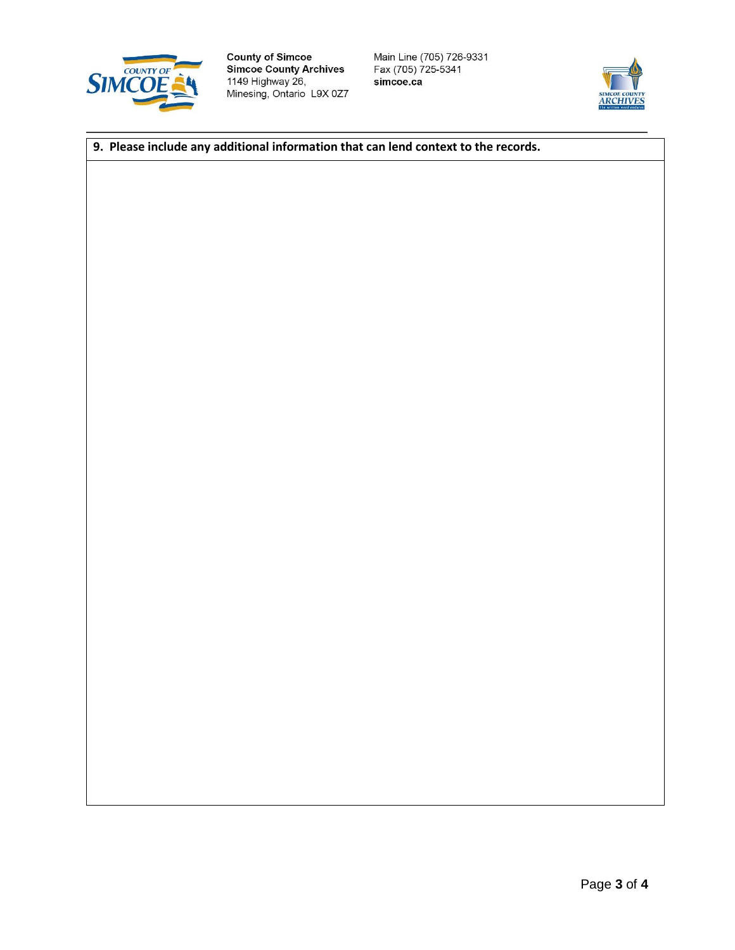

**County of Simcoe<br>Simcoe County Archives** 1149 Highway 26, Minesing, Ontario L9X 0Z7 Main Line (705) 726-9331<br>Fax (705) 725-5341 simcoe.ca



## **9. Please include any additional information that can lend context to the records.**